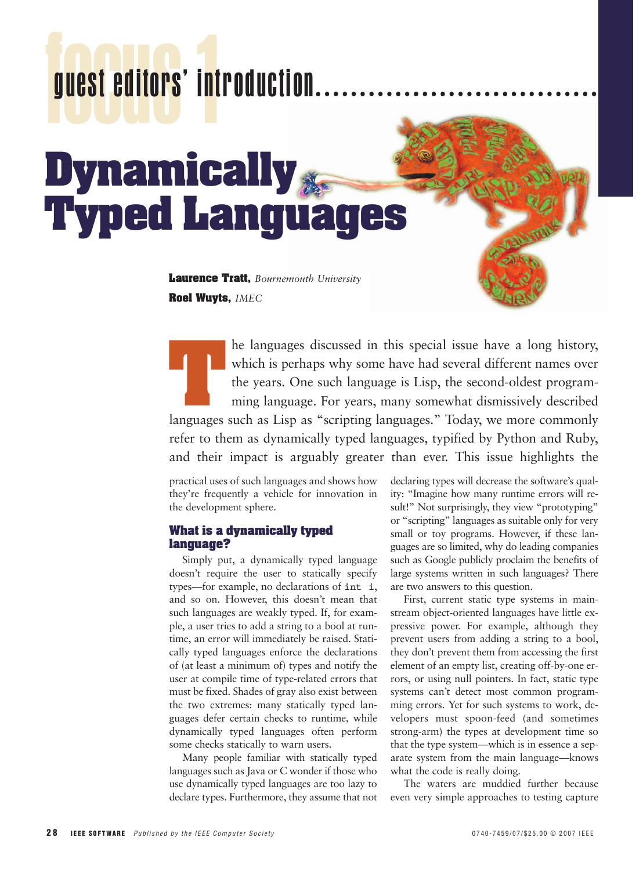focus de la partie de la partie guest editors' introduction

# **Dynamically Typed Languages**

**Laurence Tratt,** *Bournemouth University* **Roel Wuyts,** *IMEC*

**THE LANGE ISSUE CONGLUE 2019 THE LANGE ISSUE OF A LANGE ISSUE OF A LANGE ISSUE OF A LANGE ISSUE OF A LANGUAGE ISSUE OF A LANGUAGE ISSUE OF A LANGUAGE ISSUE OF A LANGUAGE TO THE LANGUAGE SUCH AS LANGUAGE <sup>36</sup> "scripting la** which is perhaps why some have had several different names over the years. One such language is Lisp, the second-oldest programming language. For years, many somewhat dismissively described

languages such as Lisp as "scripting languages." Today, we more commonly refer to them as dynamically typed languages, typified by Python and Ruby, and their impact is arguably greater than ever. This issue highlights the

practical uses of such languages and shows how they're frequently a vehicle for innovation in the development sphere.

# **What is a dynamically typed language?**

Simply put, a dynamically typed language doesn't require the user to statically specify types—for example, no declarations of int i, and so on. However, this doesn't mean that such languages are weakly typed. If, for example, a user tries to add a string to a bool at runtime, an error will immediately be raised. Statically typed languages enforce the declarations of (at least a minimum of) types and notify the user at compile time of type-related errors that must be fixed. Shades of gray also exist between the two extremes: many statically typed languages defer certain checks to runtime, while dynamically typed languages often perform some checks statically to warn users.

Many people familiar with statically typed languages such as Java or C wonder if those who use dynamically typed languages are too lazy to declare types. Furthermore, they assume that not declaring types will decrease the software's quality: "Imagine how many runtime errors will result!" Not surprisingly, they view "prototyping" or "scripting" languages as suitable only for very small or toy programs. However, if these languages are so limited, why do leading companies such as Google publicly proclaim the benefits of large systems written in such languages? There are two answers to this question.

First, current static type systems in mainstream object-oriented languages have little expressive power. For example, although they prevent users from adding a string to a bool, they don't prevent them from accessing the first element of an empty list, creating off-by-one errors, or using null pointers. In fact, static type systems can't detect most common programming errors. Yet for such systems to work, developers must spoon-feed (and sometimes strong-arm) the types at development time so that the type system—which is in essence a separate system from the main language—knows what the code is really doing.

The waters are muddied further because even very simple approaches to testing capture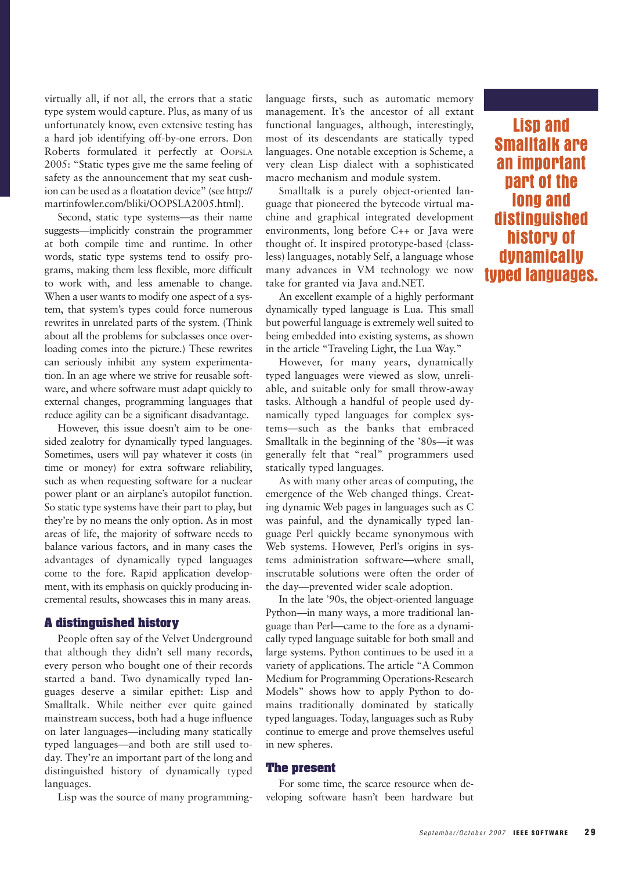virtually all, if not all, the errors that a static type system would capture. Plus, as many of us unfortunately know, even extensive testing has a hard job identifying off-by-one errors. Don Roberts formulated it perfectly at OOPSLA 2005: "Static types give me the same feeling of safety as the announcement that my seat cushion can be used as a floatation device" (see http:// martinfowler.com/bliki/OOPSLA2005.html).

Second, static type systems—as their name suggests—implicitly constrain the programmer at both compile time and runtime. In other words, static type systems tend to ossify programs, making them less flexible, more difficult to work with, and less amenable to change. When a user wants to modify one aspect of a system, that system's types could force numerous rewrites in unrelated parts of the system. (Think about all the problems for subclasses once overloading comes into the picture.) These rewrites can seriously inhibit any system experimentation. In an age where we strive for reusable software, and where software must adapt quickly to external changes, programming languages that reduce agility can be a significant disadvantage.

However, this issue doesn't aim to be onesided zealotry for dynamically typed languages. Sometimes, users will pay whatever it costs (in time or money) for extra software reliability, such as when requesting software for a nuclear power plant or an airplane's autopilot function. So static type systems have their part to play, but they're by no means the only option. As in most areas of life, the majority of software needs to balance various factors, and in many cases the advantages of dynamically typed languages come to the fore. Rapid application development, with its emphasis on quickly producing incremental results, showcases this in many areas.

## **A distinguished history**

People often say of the Velvet Underground that although they didn't sell many records, every person who bought one of their records started a band. Two dynamically typed languages deserve a similar epithet: Lisp and Smalltalk. While neither ever quite gained mainstream success, both had a huge influence on later languages—including many statically typed languages—and both are still used today. They're an important part of the long and distinguished history of dynamically typed languages.

Lisp was the source of many programming-

language firsts, such as automatic memory management. It's the ancestor of all extant functional languages, although, interestingly, most of its descendants are statically typed languages. One notable exception is Scheme, a very clean Lisp dialect with a sophisticated macro mechanism and module system.

Smalltalk is a purely object-oriented language that pioneered the bytecode virtual machine and graphical integrated development environments, long before C++ or Java were thought of. It inspired prototype-based (classless) languages, notably Self, a language whose many advances in VM technology we now take for granted via Java and.NET.

An excellent example of a highly performant dynamically typed language is Lua. This small but powerful language is extremely well suited to being embedded into existing systems, as shown in the article "Traveling Light, the Lua Way."

However, for many years, dynamically typed languages were viewed as slow, unreliable, and suitable only for small throw-away tasks. Although a handful of people used dynamically typed languages for complex systems—such as the banks that embraced Smalltalk in the beginning of the '80s—it was generally felt that "real" programmers used statically typed languages.

As with many other areas of computing, the emergence of the Web changed things. Creating dynamic Web pages in languages such as C was painful, and the dynamically typed language Perl quickly became synonymous with Web systems. However, Perl's origins in systems administration software—where small, inscrutable solutions were often the order of the day—prevented wider scale adoption.

In the late '90s, the object-oriented language Python—in many ways, a more traditional language than Perl—came to the fore as a dynamically typed language suitable for both small and large systems. Python continues to be used in a variety of applications. The article "A Common Medium for Programming Operations-Research Models" shows how to apply Python to domains traditionally dominated by statically typed languages. Today, languages such as Ruby continue to emerge and prove themselves useful in new spheres.

#### **The present**

For some time, the scarce resource when developing software hasn't been hardware but

**Lisp and Smalltalk are an important part of the long and distinguished history of dynamically typed languages.**